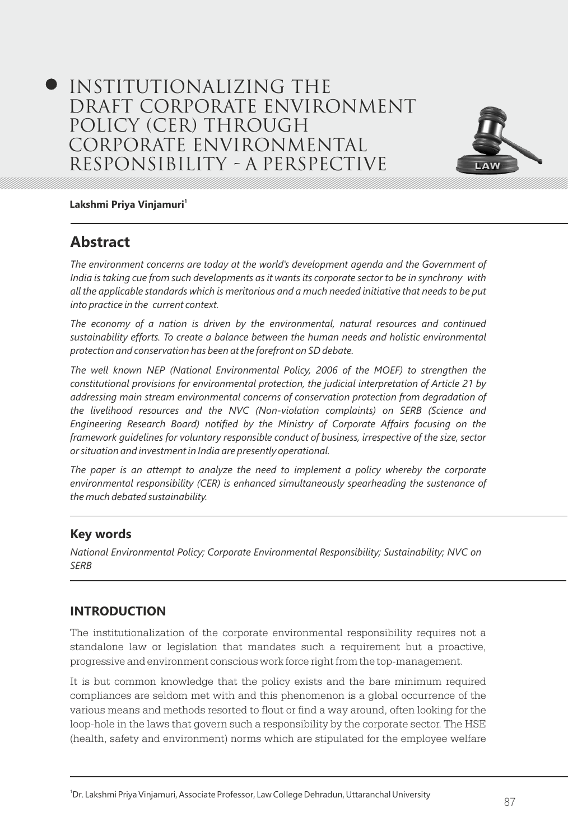# $\bullet$  INSTITUTIONALIZING THE Draft Corporate Environment Policy (CER) through Corporate Environmental Responsibility - A Perspective



**1 Lakshmi Priya Vinjamuri**

## **Abstract**

*The environment concerns are today at the world's development agenda and the Government of India is taking cue from such developments as it wants its corporate sector to be in synchrony with all the applicable standards which is meritorious and a much needed initiative that needs to be put into practice in the current context.*

*The economy of a nation is driven by the environmental, natural resources and continued sustainability efforts. To create a balance between the human needs and holistic environmental protection and conservation has been at the forefront on SD debate.*

*The well known NEP (National Environmental Policy, 2006 of the MOEF) to strengthen the constitutional provisions for environmental protection, the judicial interpretation of Article 21 by addressing main stream environmental concerns of conservation protection from degradation of the livelihood resources and the NVC (Non-violation complaints) on SERB (Science and Engineering Research Board) notified by the Ministry of Corporate Affairs focusing on the framework guidelines for voluntary responsible conduct of business, irrespective of the size, sector or situation and investment in India are presently operational.*

*The paper is an attempt to analyze the need to implement a policy whereby the corporate environmental responsibility (CER) is enhanced simultaneously spearheading the sustenance of the much debated sustainability.*

### **Key words**

*National Environmental Policy; Corporate Environmental Responsibility; Sustainability; NVC on SERB*

### **INTRODUCTION**

The institutionalization of the corporate environmental responsibility requires not a standalone law or legislation that mandates such a requirement but a proactive, progressive and environment conscious work force right from the top-management.

It is but common knowledge that the policy exists and the bare minimum required compliances are seldom met with and this phenomenon is a global occurrence of the various means and methods resorted to flout or find a way around, often looking for the loop-hole in the laws that govern such a responsibility by the corporate sector. The HSE (health, safety and environment) norms which are stipulated for the employee welfare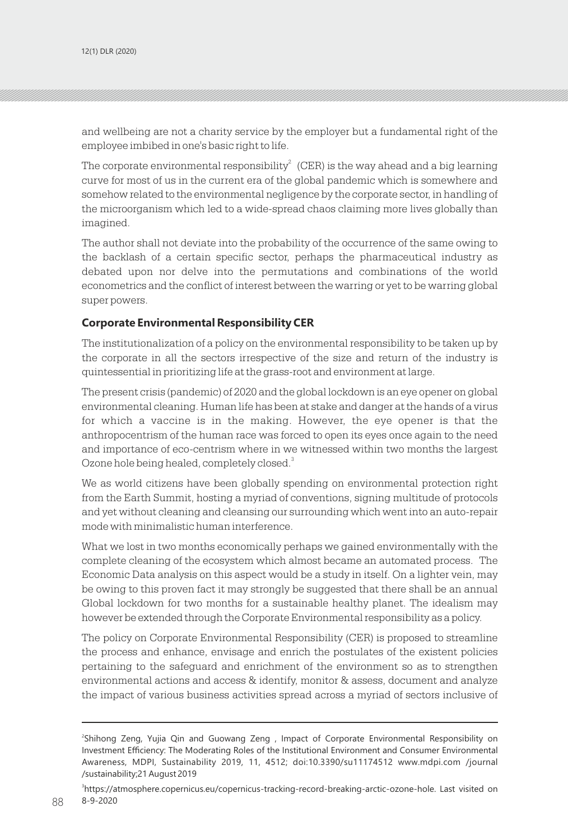and wellbeing are not a charity service by the employer but a fundamental right of the employee imbibed in one's basic right to life.

The corporate environmental responsibility<sup>2</sup> (CER) is the way ahead and a big learning curve for most of us in the current era of the global pandemic which is somewhere and somehow related to the environmental negligence by the corporate sector, in handling of the microorganism which led to a wide-spread chaos claiming more lives globally than imagined.

The author shall not deviate into the probability of the occurrence of the same owing to the backlash of a certain specific sector, perhaps the pharmaceutical industry as debated upon nor delve into the permutations and combinations of the world econometrics and the conflict of interest between the warring or yet to be warring global super powers.

#### **Corporate Environmental Responsibility CER**

The institutionalization of a policy on the environmental responsibility to be taken up by the corporate in all the sectors irrespective of the size and return of the industry is quintessential in prioritizing life at the grass-root and environment at large.

The present crisis (pandemic) of 2020 and the global lockdown is an eye opener on global environmental cleaning. Human life has been at stake and danger at the hands of a virus for which a vaccine is in the making. However, the eye opener is that the anthropocentrism of the human race was forced to open its eyes once again to the need and importance of eco-centrism where in we witnessed within two months the largest Ozone hole being healed, completely closed.<sup>3</sup>

We as world citizens have been globally spending on environmental protection right from the Earth Summit, hosting a myriad of conventions, signing multitude of protocols and yet without cleaning and cleansing our surrounding which went into an auto-repair mode with minimalistic human interference.

What we lost in two months economically perhaps we gained environmentally with the complete cleaning of the ecosystem which almost became an automated process. The Economic Data analysis on this aspect would be a study in itself. On a lighter vein, may be owing to this proven fact it may strongly be suggested that there shall be an annual Global lockdown for two months for a sustainable healthy planet. The idealism may however be extended through the Corporate Environmental responsibility as a policy.

The policy on Corporate Environmental Responsibility (CER) is proposed to streamline the process and enhance, envisage and enrich the postulates of the existent policies pertaining to the safeguard and enrichment of the environment so as to strengthen environmental actions and access & identify, monitor & assess, document and analyze the impact of various business activities spread across a myriad of sectors inclusive of

<sup>2</sup> Shihong Zeng, Yujia Qin and Guowang Zeng , Impact of Corporate Environmental Responsibility on Investment Efficiency: The Moderating Roles of the Institutional Environment and Consumer Environmental Awareness, MDPI, Sustainability 2019, 11, 4512; doi:10.3390/su11174512 www.mdpi.com /journal /sustainability;21 August 2019

<sup>&</sup>lt;sup>3</sup>https://atmosphere.copernicus.eu/copernicus-tracking-record-breaking-arctic-ozone-hole. Last visited on 8-9-2020 88 8-9-2020 and the set of the set of the set of the set of the set of the set of the set of the set of the set of the set of the set of the set of the set of the set of the set of the set of the set of the set of the set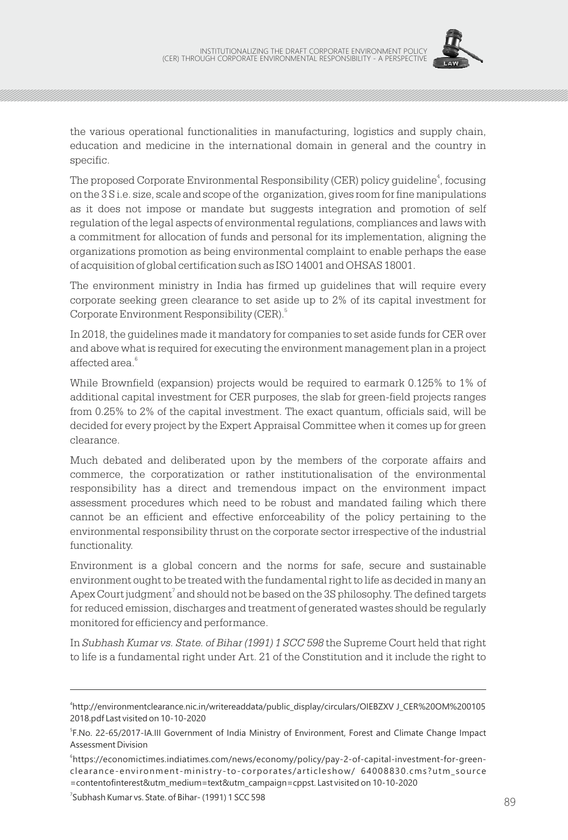

the various operational functionalities in manufacturing, logistics and supply chain, education and medicine in the international domain in general and the country in specific.

The proposed Corporate Environmental Responsibility (CER) policy quideline<sup>4</sup>, focusing on the 3 S i.e. size, scale and scope of the organization, gives room for fine manipulations as it does not impose or mandate but suggests integration and promotion of self regulation of the legal aspects of environmental regulations, compliances and laws with a commitment for allocation of funds and personal for its implementation, aligning the organizations promotion as being environmental complaint to enable perhaps the ease of acquisition of global certification such as ISO 14001 and OHSAS 18001.

The environment ministry in India has firmed up guidelines that will require every corporate seeking green clearance to set aside up to 2% of its capital investment for Corporate Environment Responsibility (CER).<sup>5</sup>

In 2018, the guidelines made it mandatory for companies to set aside funds for CER over and above what is required for executing the environment management plan in a project affected area. 6

While Brownfield (expansion) projects would be required to earmark 0.125% to 1% of additional capital investment for CER purposes, the slab for green-field projects ranges from 0.25% to 2% of the capital investment. The exact quantum, officials said, will be decided for every project by the Expert Appraisal Committee when it comes up for green clearance.

Much debated and deliberated upon by the members of the corporate affairs and commerce, the corporatization or rather institutionalisation of the environmental responsibility has a direct and tremendous impact on the environment impact assessment procedures which need to be robust and mandated failing which there cannot be an efficient and effective enforceability of the policy pertaining to the environmental responsibility thrust on the corporate sector irrespective of the industrial functionality.

Environment is a global concern and the norms for safe, secure and sustainable environment ought to be treated with the fundamental right to life as decided in many an Apex Court judgment<sup>7</sup> and should not be based on the 3S philosophy. The defined targets for reduced emission, discharges and treatment of generated wastes should be regularly monitored for efficiency and performance.

In *Subhash Kumar vs. State. of Bihar (1991) 1 SCC 598* the Supreme Court held that right to life is a fundamental right under Art. 21 of the Constitution and it include the right to

<sup>4</sup> http://environmentclearance.nic.in/writereaddata/public\_display/circulars/OIEBZXV J\_CER%20OM%200105 2018.pdf Last visited on 10-10-2020

<sup>5</sup> F.No. 22-65/2017-IA.III Government of India Ministry of Environment, Forest and Climate Change Impact Assessment Division

<sup>6</sup> https://economictimes.indiatimes.com/news/economy/policy/pay-2-of-capital-investment-for-greenclearance-environment-ministry-to-corporates/articleshow/ 64008830.cms?utm\_source =contentofinterest&utm\_medium=text&utm\_campaign=cppst. Last visited on 10-10-2020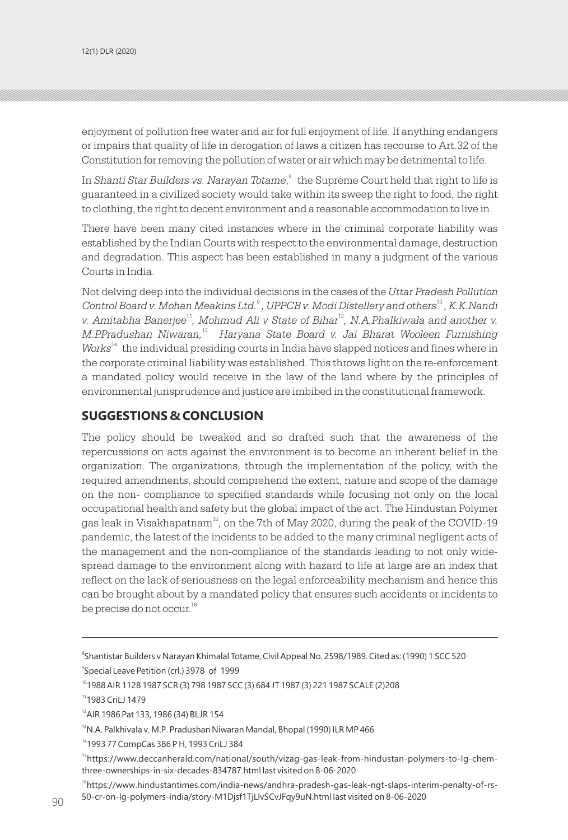enjoyment of pollution free water and air for full enjoyment of life. If anything endangers or impairs that quality of life in derogation of laws a citizen has recourse to Art.32 of the Constitution for removing the pollution of water or air which may be detrimental to life.

In *Shanti Star Builders vs. Narayan Totame*, $^{\text{\tiny 8}}$  the Supreme Court held that right to life is guaranteed in a civilized society would take within its sweep the right to food, the right to clothing, the right to decent environment and a reasonable accommodation to live in.

There have been many cited instances where in the criminal corporate liability was established by the Indian Courts with respect to the environmental damage, destruction and degradation. This aspect has been established in many a judgment of the various Courts in India.

Not delving deep into the individual decisions in the cases of the *Uttar Pradesh Pollution*  <sup>9</sup> <sup>10</sup> *Control Board v. Mohan Meakins Ltd. , UPPCB v. Modi Distellery and others , K.K.Nandi*  v. Amitabha Banerjee $^{\text{11}}$ , Mohmud Ali v State of Bihar $^{\text{12}}$ , N.A.Phalkiwala and another v. <sup>13</sup> *M.P.Pradushan Niwaran, Haryana State Board v. Jai Bharat Wooleen Furnishing*  Works<sup>14</sup> the individual presiding courts in India have slapped notices and fines where in the corporate criminal liability was established. This throws light on the re-enforcement a mandated policy would receive in the law of the land where by the principles of environmental jurisprudence and justice are imbibed in the constitutional framework.

#### **SUGGESTIONS & CONCLUSION**

The policy should be tweaked and so drafted such that the awareness of the repercussions on acts against the environment is to become an inherent belief in the organization. The organizations, through the implementation of the policy, with the required amendments, should comprehend the extent, nature and scope of the damage on the non- compliance to specified standards while focusing not only on the local occupational health and safety but the global impact of the act. The Hindustan Polymer gas leak in Visakhapatnam<sup>15</sup>, on the 7th of May 2020, during the peak of the COVID-19 pandemic, the latest of the incidents to be added to the many criminal negligent acts of the management and the non-compliance of the standards leading to not only widespread damage to the environment along with hazard to life at large are an index that reflect on the lack of seriousness on the legal enforceability mechanism and hence this can be brought about by a mandated policy that ensures such accidents or incidents to be precise do not occur. 16

8 Shantistar Builders v Narayan Khimalal Totame, Civil Appeal No. 2598/1989. Cited as: (1990) 1 SCC 520 9 Special Leave Petition (crl.) 3978 of 1999

<sup>10</sup>1988 AIR 1128 1987 SCR (3) 798 1987 SCC (3) 684 JT 1987 (3) 221 1987 SCALE (2)208

<sup>11</sup>1983 CriLJ 1479

<sup>13</sup>N.A. Palkhivala v. M.P. Pradushan Niwaran Mandal, Bhopal (1990) ILR MP 466

<sup>14</sup>1993 77 CompCas 386 P H, 1993 CriLJ 384

15 https://www.deccanherald.com/national/south/vizag-gas-leak-from-hindustan-polymers-to-lg-chemthree-ownerships-in-six-decades-834787.html last visited on 8-06-2020

<sup>16</sup>https://www.hindustantimes.com/india-news/andhra-pradesh-gas-leak-ngt-slaps-interim-penalty-of-rs-50-cr-on-lg-polymers-india/story-M1Djsf1TjLlvSCvJFqy9uN.html last visited on 8-06-2020 90 91

<sup>&</sup>lt;sup>12</sup> AIR 1986 Pat 133, 1986 (34) BLJR 154